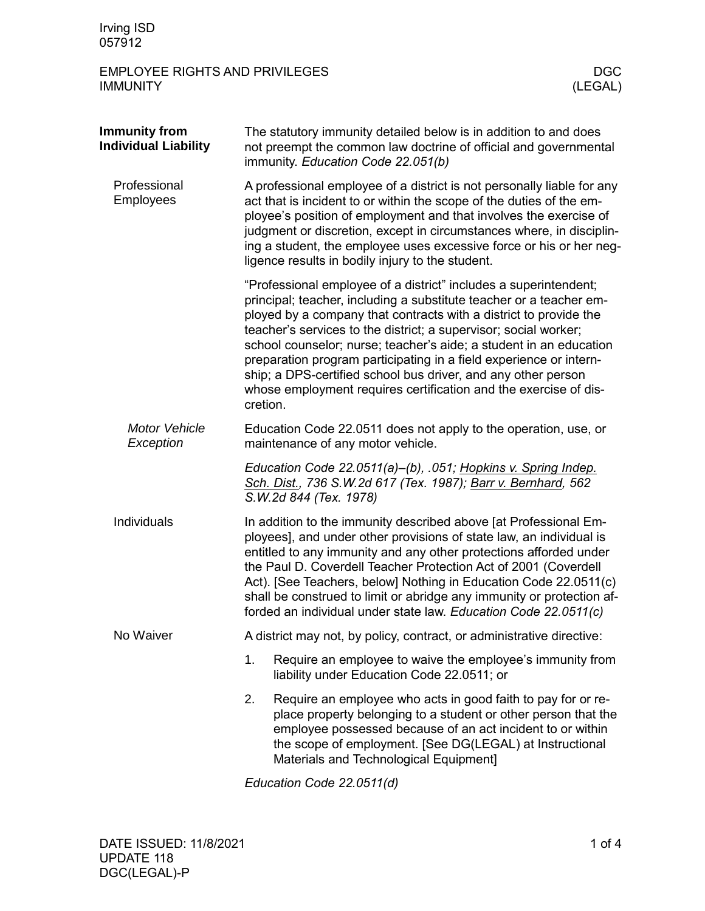## EMPLOYEE RIGHTS AND PRIVILEGES DGC DGC NATIONAL TEST OF REAL PRIVILEGES AND REAL PRIVILEGES **IMMUNITY**

| <b>Immunity from</b><br><b>Individual Liability</b> | The statutory immunity detailed below is in addition to and does<br>not preempt the common law doctrine of official and governmental<br>immunity. Education Code 22.051(b)                                                                                                                                                                                                                                                                                                                                                                                                    |  |  |  |  |
|-----------------------------------------------------|-------------------------------------------------------------------------------------------------------------------------------------------------------------------------------------------------------------------------------------------------------------------------------------------------------------------------------------------------------------------------------------------------------------------------------------------------------------------------------------------------------------------------------------------------------------------------------|--|--|--|--|
| Professional<br><b>Employees</b>                    | A professional employee of a district is not personally liable for any<br>act that is incident to or within the scope of the duties of the em-<br>ployee's position of employment and that involves the exercise of<br>judgment or discretion, except in circumstances where, in disciplin-<br>ing a student, the employee uses excessive force or his or her neg-<br>ligence results in bodily injury to the student.                                                                                                                                                        |  |  |  |  |
|                                                     | "Professional employee of a district" includes a superintendent;<br>principal; teacher, including a substitute teacher or a teacher em-<br>ployed by a company that contracts with a district to provide the<br>teacher's services to the district; a supervisor; social worker;<br>school counselor; nurse; teacher's aide; a student in an education<br>preparation program participating in a field experience or intern-<br>ship; a DPS-certified school bus driver, and any other person<br>whose employment requires certification and the exercise of dis-<br>cretion. |  |  |  |  |
| Motor Vehicle<br>Exception                          | Education Code 22.0511 does not apply to the operation, use, or<br>maintenance of any motor vehicle.                                                                                                                                                                                                                                                                                                                                                                                                                                                                          |  |  |  |  |
|                                                     | Education Code 22.0511(a)-(b), .051; Hopkins v. Spring Indep.<br>Sch. Dist., 736 S.W.2d 617 (Tex. 1987); Barr v. Bernhard, 562<br>S.W.2d 844 (Tex. 1978)                                                                                                                                                                                                                                                                                                                                                                                                                      |  |  |  |  |
| Individuals                                         | In addition to the immunity described above [at Professional Em-<br>ployees], and under other provisions of state law, an individual is<br>entitled to any immunity and any other protections afforded under<br>the Paul D. Coverdell Teacher Protection Act of 2001 (Coverdell<br>Act). [See Teachers, below] Nothing in Education Code 22.0511(c)<br>shall be construed to limit or abridge any immunity or protection af-<br>forded an individual under state law. Education Code 22.0511(c)                                                                               |  |  |  |  |
| No Waiver                                           | A district may not, by policy, contract, or administrative directive:                                                                                                                                                                                                                                                                                                                                                                                                                                                                                                         |  |  |  |  |
|                                                     | 1.<br>Require an employee to waive the employee's immunity from<br>liability under Education Code 22.0511; or                                                                                                                                                                                                                                                                                                                                                                                                                                                                 |  |  |  |  |
|                                                     | 2.<br>Require an employee who acts in good faith to pay for or re-<br>place property belonging to a student or other person that the<br>employee possessed because of an act incident to or within<br>the scope of employment. [See DG(LEGAL) at Instructional<br>Materials and Technological Equipment]                                                                                                                                                                                                                                                                      |  |  |  |  |

*Education Code 22.0511(d)*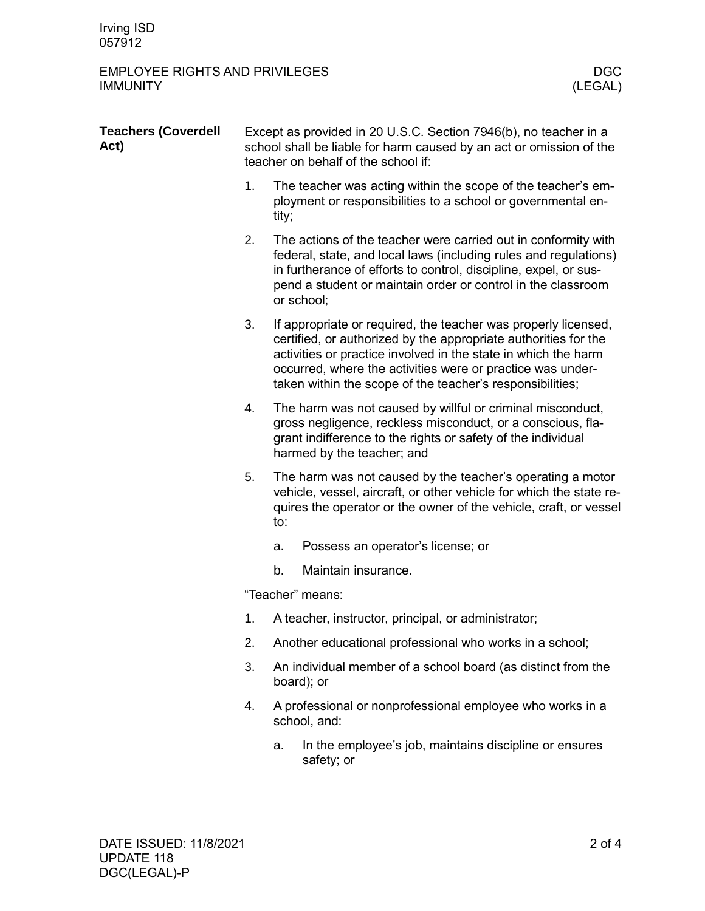## EMPLOYEE RIGHTS AND PRIVILEGES DGC DGC NATIONAL TEST OF REAL PRIVILEGES AND REAL PRIVILEGES **IMMUNITY**

| <b>Teachers (Coverdell</b><br>Act) | Except as provided in 20 U.S.C. Section 7946(b), no teacher in a<br>school shall be liable for harm caused by an act or omission of the<br>teacher on behalf of the school if: |                                                                                                                                                                                                                                                                                                                                |                                                                                                                                                                                                                                                                                      |  |  |
|------------------------------------|--------------------------------------------------------------------------------------------------------------------------------------------------------------------------------|--------------------------------------------------------------------------------------------------------------------------------------------------------------------------------------------------------------------------------------------------------------------------------------------------------------------------------|--------------------------------------------------------------------------------------------------------------------------------------------------------------------------------------------------------------------------------------------------------------------------------------|--|--|
|                                    | 1.                                                                                                                                                                             | The teacher was acting within the scope of the teacher's em-<br>ployment or responsibilities to a school or governmental en-<br>tity;                                                                                                                                                                                          |                                                                                                                                                                                                                                                                                      |  |  |
|                                    | 2.                                                                                                                                                                             |                                                                                                                                                                                                                                                                                                                                | The actions of the teacher were carried out in conformity with<br>federal, state, and local laws (including rules and regulations)<br>in furtherance of efforts to control, discipline, expel, or sus-<br>pend a student or maintain order or control in the classroom<br>or school; |  |  |
|                                    | 3.                                                                                                                                                                             | If appropriate or required, the teacher was properly licensed,<br>certified, or authorized by the appropriate authorities for the<br>activities or practice involved in the state in which the harm<br>occurred, where the activities were or practice was under-<br>taken within the scope of the teacher's responsibilities; |                                                                                                                                                                                                                                                                                      |  |  |
|                                    | 4.                                                                                                                                                                             | The harm was not caused by willful or criminal misconduct,<br>gross negligence, reckless misconduct, or a conscious, fla-<br>grant indifference to the rights or safety of the individual<br>harmed by the teacher; and                                                                                                        |                                                                                                                                                                                                                                                                                      |  |  |
|                                    | 5.                                                                                                                                                                             | The harm was not caused by the teacher's operating a motor<br>vehicle, vessel, aircraft, or other vehicle for which the state re-<br>quires the operator or the owner of the vehicle, craft, or vessel<br>to:                                                                                                                  |                                                                                                                                                                                                                                                                                      |  |  |
|                                    |                                                                                                                                                                                | a.                                                                                                                                                                                                                                                                                                                             | Possess an operator's license; or                                                                                                                                                                                                                                                    |  |  |
|                                    |                                                                                                                                                                                | b.                                                                                                                                                                                                                                                                                                                             | Maintain insurance.                                                                                                                                                                                                                                                                  |  |  |
|                                    | "Teacher" means:                                                                                                                                                               |                                                                                                                                                                                                                                                                                                                                |                                                                                                                                                                                                                                                                                      |  |  |
|                                    | 1.                                                                                                                                                                             | A teacher, instructor, principal, or administrator;                                                                                                                                                                                                                                                                            |                                                                                                                                                                                                                                                                                      |  |  |
|                                    | 2.                                                                                                                                                                             |                                                                                                                                                                                                                                                                                                                                | Another educational professional who works in a school;                                                                                                                                                                                                                              |  |  |
|                                    | 3.                                                                                                                                                                             |                                                                                                                                                                                                                                                                                                                                | An individual member of a school board (as distinct from the<br>board); or                                                                                                                                                                                                           |  |  |
|                                    | 4.                                                                                                                                                                             |                                                                                                                                                                                                                                                                                                                                | A professional or nonprofessional employee who works in a<br>school, and:                                                                                                                                                                                                            |  |  |
|                                    |                                                                                                                                                                                | a.                                                                                                                                                                                                                                                                                                                             | In the employee's job, maintains discipline or ensures<br>safety; or                                                                                                                                                                                                                 |  |  |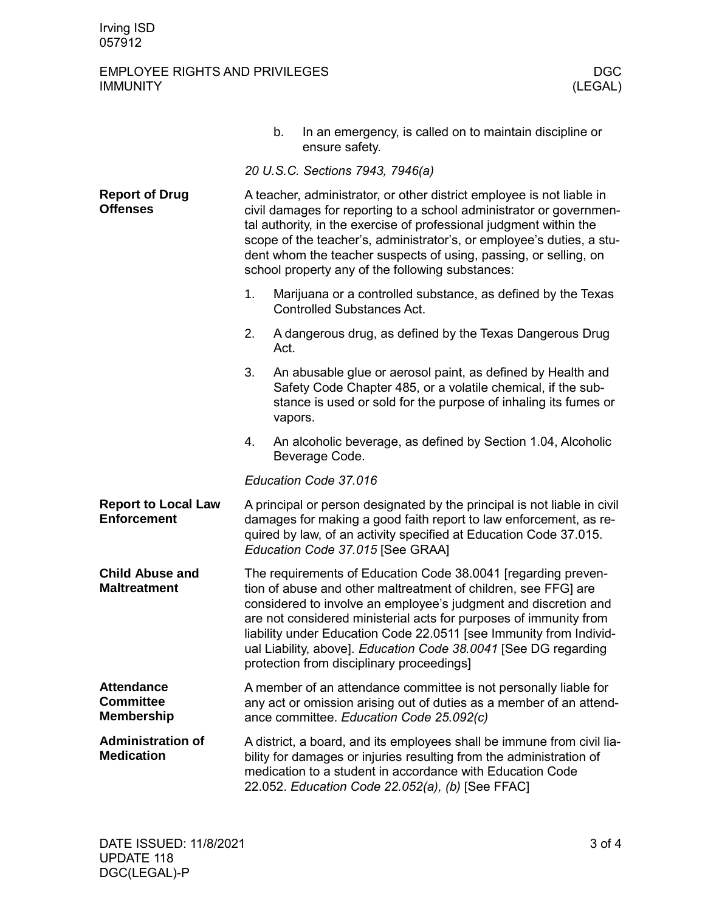## EMPLOYEE RIGHTS AND PRIVILEGES DGC DGC NATIONAL TYPE AND PRIVILEGES AND RESERVENT ON A RESERVENT OF A RESERVENT OF A RESERVENT OF A RESERVENT OF A RESERVENT OF A RESERVENT OF A RESERVENT OF A RESERVENT OF A RESERVENT OF A **IMMUNITY**

|                                                            |                                                                                                                                                                                                                                                                                                                                                                                                                                                               | b.      | In an emergency, is called on to maintain discipline or<br>ensure safety.                                                                                                                      |  |  |
|------------------------------------------------------------|---------------------------------------------------------------------------------------------------------------------------------------------------------------------------------------------------------------------------------------------------------------------------------------------------------------------------------------------------------------------------------------------------------------------------------------------------------------|---------|------------------------------------------------------------------------------------------------------------------------------------------------------------------------------------------------|--|--|
|                                                            |                                                                                                                                                                                                                                                                                                                                                                                                                                                               |         | 20 U.S.C. Sections 7943, 7946(a)                                                                                                                                                               |  |  |
| <b>Report of Drug</b><br><b>Offenses</b>                   | A teacher, administrator, or other district employee is not liable in<br>civil damages for reporting to a school administrator or governmen-<br>tal authority, in the exercise of professional judgment within the<br>scope of the teacher's, administrator's, or employee's duties, a stu-<br>dent whom the teacher suspects of using, passing, or selling, on<br>school property any of the following substances:                                           |         |                                                                                                                                                                                                |  |  |
|                                                            | 1.                                                                                                                                                                                                                                                                                                                                                                                                                                                            |         | Marijuana or a controlled substance, as defined by the Texas<br><b>Controlled Substances Act.</b>                                                                                              |  |  |
|                                                            | 2.                                                                                                                                                                                                                                                                                                                                                                                                                                                            | Act.    | A dangerous drug, as defined by the Texas Dangerous Drug                                                                                                                                       |  |  |
|                                                            | 3.                                                                                                                                                                                                                                                                                                                                                                                                                                                            | vapors. | An abusable glue or aerosol paint, as defined by Health and<br>Safety Code Chapter 485, or a volatile chemical, if the sub-<br>stance is used or sold for the purpose of inhaling its fumes or |  |  |
|                                                            | 4.                                                                                                                                                                                                                                                                                                                                                                                                                                                            |         | An alcoholic beverage, as defined by Section 1.04, Alcoholic<br>Beverage Code.                                                                                                                 |  |  |
|                                                            | Education Code 37.016                                                                                                                                                                                                                                                                                                                                                                                                                                         |         |                                                                                                                                                                                                |  |  |
| <b>Report to Local Law</b><br><b>Enforcement</b>           | A principal or person designated by the principal is not liable in civil<br>damages for making a good faith report to law enforcement, as re-<br>quired by law, of an activity specified at Education Code 37.015.<br>Education Code 37.015 [See GRAA]                                                                                                                                                                                                        |         |                                                                                                                                                                                                |  |  |
| <b>Child Abuse and</b><br><b>Maltreatment</b>              | The requirements of Education Code 38.0041 [regarding preven-<br>tion of abuse and other maltreatment of children, see FFG] are<br>considered to involve an employee's judgment and discretion and<br>are not considered ministerial acts for purposes of immunity from<br>liability under Education Code 22.0511 [see Immunity from Individ-<br>ual Liability, above]. Education Code 38.0041 [See DG regarding<br>protection from disciplinary proceedings] |         |                                                                                                                                                                                                |  |  |
| <b>Attendance</b><br><b>Committee</b><br><b>Membership</b> | A member of an attendance committee is not personally liable for<br>any act or omission arising out of duties as a member of an attend-<br>ance committee. Education Code 25.092(c)                                                                                                                                                                                                                                                                           |         |                                                                                                                                                                                                |  |  |
| <b>Administration of</b><br><b>Medication</b>              | A district, a board, and its employees shall be immune from civil lia-<br>bility for damages or injuries resulting from the administration of<br>medication to a student in accordance with Education Code<br>22.052. Education Code 22.052(a), (b) [See FFAC]                                                                                                                                                                                                |         |                                                                                                                                                                                                |  |  |